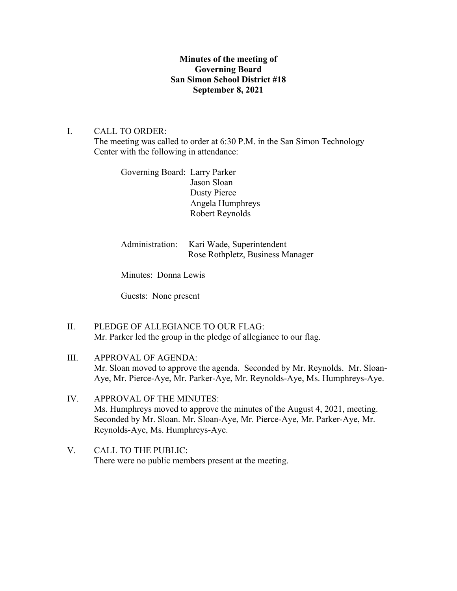# **Minutes of the meeting of Governing Board San Simon School District #18 September 8, 2021**

# I. CALL TO ORDER:

The meeting was called to order at 6:30 P.M. in the San Simon Technology Center with the following in attendance:

Governing Board: Larry Parker Jason Sloan Dusty Pierce Angela Humphreys Robert Reynolds

Administration: Kari Wade, Superintendent Rose Rothpletz, Business Manager

Minutes: Donna Lewis

Guests: None present

- II. PLEDGE OF ALLEGIANCE TO OUR FLAG: Mr. Parker led the group in the pledge of allegiance to our flag.
- III. APPROVAL OF AGENDA: Mr. Sloan moved to approve the agenda. Seconded by Mr. Reynolds. Mr. Sloan-Aye, Mr. Pierce-Aye, Mr. Parker-Aye, Mr. Reynolds-Aye, Ms. Humphreys-Aye.
- IV. APPROVAL OF THE MINUTES: Ms. Humphreys moved to approve the minutes of the August 4, 2021, meeting. Seconded by Mr. Sloan. Mr. Sloan-Aye, Mr. Pierce-Aye, Mr. Parker-Aye, Mr. Reynolds-Aye, Ms. Humphreys-Aye.
- V. CALL TO THE PUBLIC: There were no public members present at the meeting.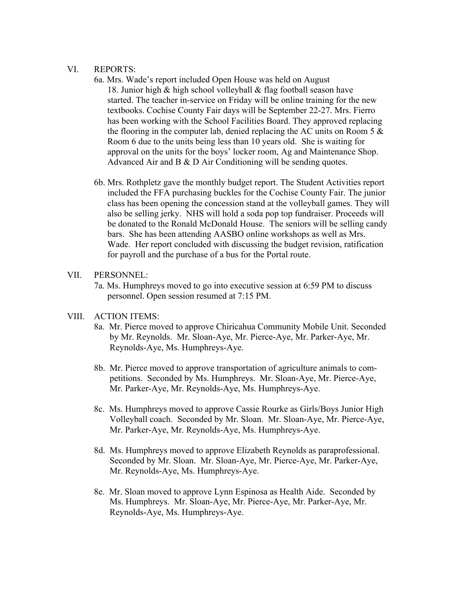## VI. REPORTS:

- 6a. Mrs. Wade's report included Open House was held on August 18. Junior high & high school volleyball & flag football season have started. The teacher in-service on Friday will be online training for the new textbooks. Cochise County Fair days will be September 22-27. Mrs. Fierro has been working with the School Facilities Board. They approved replacing the flooring in the computer lab, denied replacing the AC units on Room 5  $\&$  Room 6 due to the units being less than 10 years old. She is waiting for approval on the units for the boys' locker room, Ag and Maintenance Shop. Advanced Air and B & D Air Conditioning will be sending quotes.
- 6b. Mrs. Rothpletz gave the monthly budget report. The Student Activities report included the FFA purchasing buckles for the Cochise County Fair. The junior class has been opening the concession stand at the volleyball games. They will also be selling jerky. NHS will hold a soda pop top fundraiser. Proceeds will be donated to the Ronald McDonald House. The seniors will be selling candy bars. She has been attending AASBO online workshops as well as Mrs. Wade. Her report concluded with discussing the budget revision, ratification for payroll and the purchase of a bus for the Portal route.

## VII. PERSONNEL:

 7a. Ms. Humphreys moved to go into executive session at 6:59 PM to discuss personnel. Open session resumed at 7:15 PM.

## VIII. ACTION ITEMS:

- 8a. Mr. Pierce moved to approve Chiricahua Community Mobile Unit. Seconded by Mr. Reynolds. Mr. Sloan-Aye, Mr. Pierce-Aye, Mr. Parker-Aye, Mr. Reynolds-Aye, Ms. Humphreys-Aye.
- 8b. Mr. Pierce moved to approve transportation of agriculture animals to com petitions. Seconded by Ms. Humphreys. Mr. Sloan-Aye, Mr. Pierce-Aye, Mr. Parker-Aye, Mr. Reynolds-Aye, Ms. Humphreys-Aye.
- 8c. Ms. Humphreys moved to approve Cassie Rourke as Girls/Boys Junior High Volleyball coach. Seconded by Mr. Sloan. Mr. Sloan-Aye, Mr. Pierce-Aye, Mr. Parker-Aye, Mr. Reynolds-Aye, Ms. Humphreys-Aye.
- 8d. Ms. Humphreys moved to approve Elizabeth Reynolds as paraprofessional. Seconded by Mr. Sloan. Mr. Sloan-Aye, Mr. Pierce-Aye, Mr. Parker-Aye, Mr. Reynolds-Aye, Ms. Humphreys-Aye.
- 8e. Mr. Sloan moved to approve Lynn Espinosa as Health Aide. Seconded by Ms. Humphreys. Mr. Sloan-Aye, Mr. Pierce-Aye, Mr. Parker-Aye, Mr. Reynolds-Aye, Ms. Humphreys-Aye.